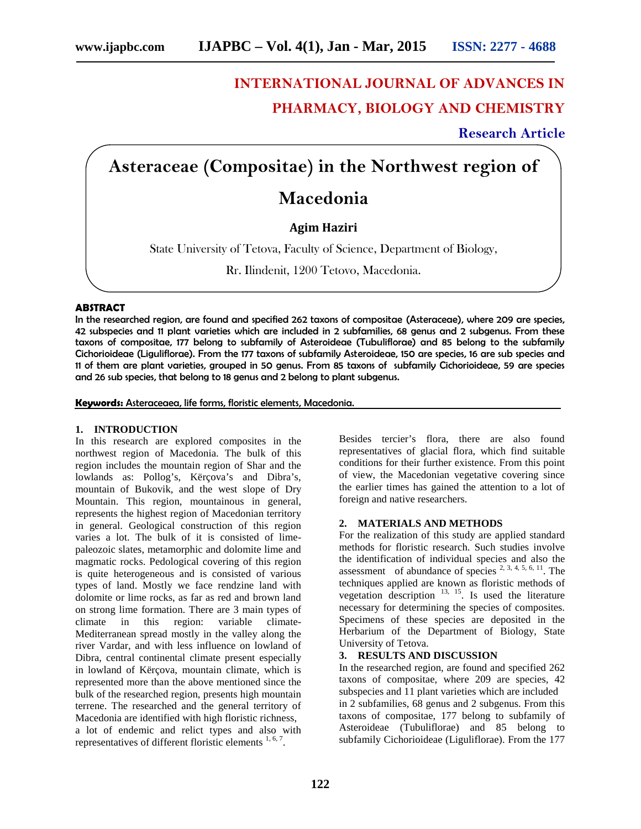# **INTERNATIONAL JOURNAL OF ADVANCES IN PHARMACY, BIOLOGY AND CHEMISTRY**

**Research Article**

**Asteraceae (Compositae) in the Northwest region of**

# **Macedonia**

**Agim Haziri**

State University of Tetova, Faculty of Science, Department of Biology,

Rr. Ilindenit, 1200 Tetovo, Macedonia.

## **ABSTRACT**

In the researched region, are found and specified 262 taxons of compositae (Asteraceae), where 209 are species, 42 subspecies and 11 plant varieties which are included in 2 subfamilies, 68 genus and 2 subgenus. From these taxons of compositae, 177 belong to subfamily of Asteroideae (Tubuliflorae) and 85 belong to the subfamily Cichorioideae (Liguliflorae). From the 177 taxons of subfamily Asteroideae, 150 are species, 16 are sub species and 11 of them are plant varieties, grouped in 50 genus. From 85 taxons of subfamily Cichorioideae, 59 are species and 26 sub species, that belong to 18 genus and 2 belong to plant subgenus.

**Keywords:** Asteraceaea, life forms, floristic elements, Macedonia.

## **1. INTRODUCTION**

In this research are explored composites in the northwest region of Macedonia. The bulk of this region includes the mountain region of Shar and the lowlands as: Pollog's, Kërçova's and Dibra's, mountain of Bukovik, and the west slope of Dry Mountain. This region, mountainous in general, represents the highest region of Macedonian territory in general. Geological construction of this region varies a lot. The bulk of it is consisted of lime paleozoic slates, metamorphic and dolomite lime and magmatic rocks. Pedological covering of this region is quite heterogeneous and is consisted of various types of land. Mostly we face rendzine land with dolomite or lime rocks, as far as red and brown land on strong lime formation. There are 3 main types of climate in this region: variable climate- Mediterranean spread mostly in the valley along the river Vardar, and with less influence on lowland of Dibra, central continental climate present especially in lowland of Kërçova, mountain climate, which is represented more than the above mentioned since the bulk of the researched region, presents high mountain terrene. The researched and the general territory of Macedonia are identified with high floristic richness, a lot of endemic and relict types and also with representatives of different floristic elements  $1, 6, 7$ . Besides tercier's flora, there are also found representatives of glacial flora, which find suitable conditions for their further existence. From this point of view, the Macedonian vegetative covering since the earlier times has gained the attention to a lot of foreign and native researchers.

## **2. MATERIALS AND METHODS**

For the realization of this study are applied standard methods for floristic research. Such studies involve the identification of individual species and also the assessment of abundance of species  $2, 3, 4, 5, 6, 11$ . The techniques applied are known as floristic methods of vegetation description  $^{13, 15}$ . Is used the literature necessary for determining the species of composites. Specimens of these species are deposited in the Herbarium of the Department of Biology, State University of Tetova.

## **3. RESULTS AND DISCUSSION**

In the researched region, are found and specified 262 taxons of compositae, where 209 are species, 42 subspecies and 11 plant varieties which are included in 2 subfamilies, 68 genus and 2 subgenus. From this taxons of compositae, 177 belong to subfamily of Asteroideae (Tubuliflorae) and 85 belong to subfamily Cichorioideae (Liguliflorae). From the 177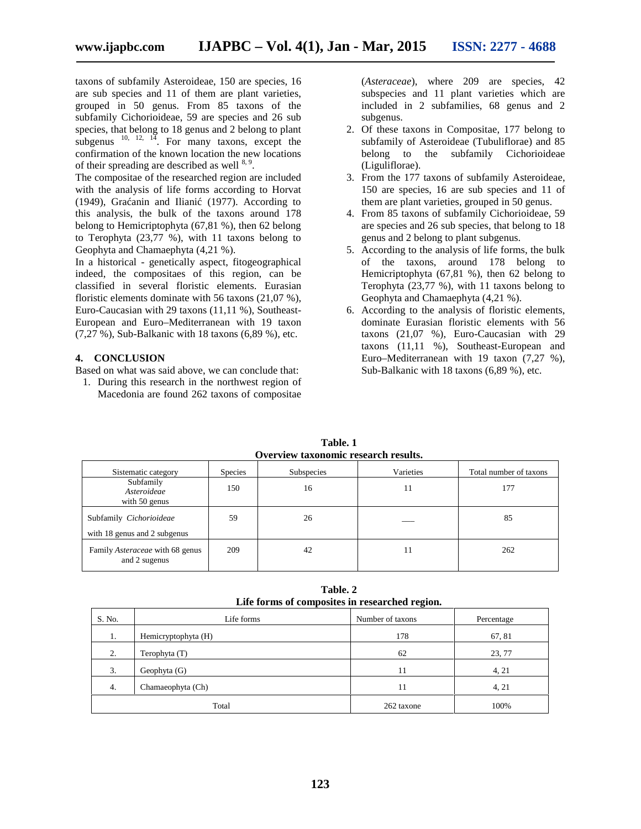taxons of subfamily Asteroideae, 150 are species, 16 are sub species and 11 of them are plant varieties, grouped in 50 genus. From 85 taxons of the subfamily Cichorioideae, 59 are species and 26 sub species, that belong to 18 genus and 2 belong to plant subgenus  $10, 12, 14$ . For many taxons, except the confirmation of the known location the new locations of their spreading are described as well  $8.9$ .

The compositae of the researched region are included with the analysis of life forms according to Horvat (1949), Gra anin and Iliani (1977). According to this analysis, the bulk of the taxons around 178 belong to Hemicriptophyta (67,81 %), then 62 belong to Terophyta (23,77 %), with 11 taxons belong to Geophyta and Chamaephyta (4,21 %).

In a historical - genetically aspect, fitogeographical indeed, the compositaes of this region, can be classified in several floristic elements. Eurasian floristic elements dominate with 56 taxons (21,07 %), Euro-Caucasian with 29 taxons (11,11 %), Southeast- European and Euro–Mediterranean with 19 taxon (7,27 %), Sub-Balkanic with 18 taxons (6,89 %), etc.

#### **4. CONCLUSION**

Based on what was said above, we can conclude that:

1. During this research in the northwest region of Macedonia are found 262 taxons of compositae

(*Asteraceae*), where 209 are species, 42 subspecies and 11 plant varieties which are included in 2 subfamilies, 68 genus and 2 subgenus.

- 2. Of these taxons in Compositae, 177 belong to subfamily of Asteroideae (Tubuliflorae) and 85 belong to the subfamily Cichorioideae (Liguliflorae).
- 3. From the 177 taxons of subfamily Asteroideae, 150 are species, 16 are sub species and 11 of them are plant varieties, grouped in 50 genus.
- 4. From 85 taxons of subfamily Cichorioideae, 59 are species and 26 sub species, that belong to 18 genus and 2 belong to plant subgenus.
- 5. According to the analysis of life forms, the bulk of the taxons, around 178 belong to Hemicriptophyta (67,81 %), then 62 belong to Terophyta (23,77 %), with 11 taxons belong to Geophyta and Chamaephyta (4,21 %).
- 6. According to the analysis of floristic elements, dominate Eurasian floristic elements with 56 taxons (21,07 %), Euro-Caucasian with 29 taxons (11,11 %), Southeast-European and Euro–Mediterranean with 19 taxon (7,27 %), Sub-Balkanic with 18 taxons (6,89 %), etc.

| Table. 1 |                                      |  |  |  |
|----------|--------------------------------------|--|--|--|
|          | Overview taxonomic research results. |  |  |  |

| Sistematic category                                     | <b>Species</b> | <b>Subspecies</b> | Varieties | Total number of taxons |
|---------------------------------------------------------|----------------|-------------------|-----------|------------------------|
| Subfamily<br>Asteroideae<br>with 50 genus               | 150            | 16                |           | 177                    |
| Subfamily Cichorioideae<br>with 18 genus and 2 subgenus | 59             | 26                |           | 85                     |
| Family Asteraceae with 68 genus<br>and 2 sugenus        | 209            | 42                |           | 262                    |

**Table. 2 Life forms of composites in researched region.**

| S. No. | Life forms          | Number of taxons | Percentage |
|--------|---------------------|------------------|------------|
| 1.     | Hemicryptophyta (H) | 178              | 67, 81     |
| 2.     | Terophyta (T)       | 62               | 23, 77     |
| 3.     | Geophyta $(G)$      | 11               | 4, 21      |
| 4.     | Chamaeophyta (Ch)   | 11               | 4, 21      |
| Total  |                     | 262 taxone       | 100%       |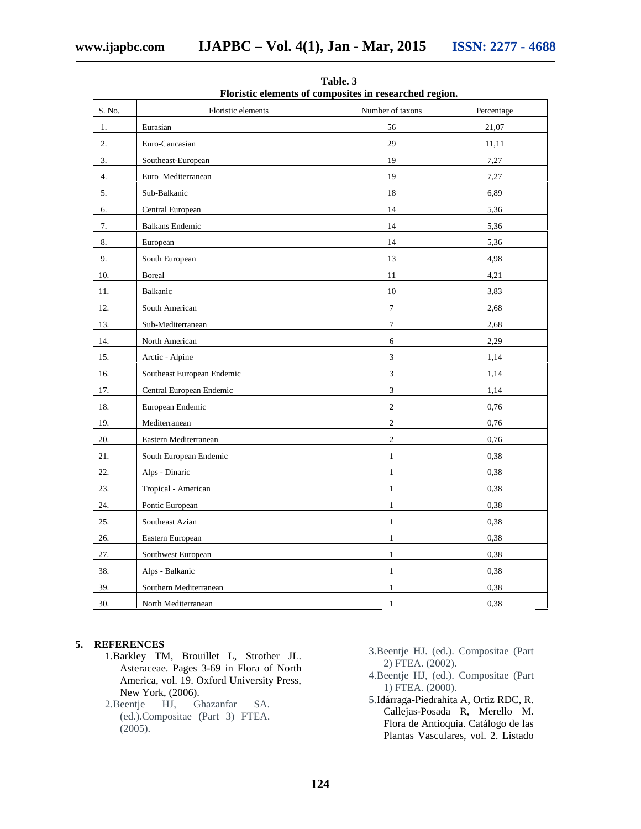| S. No. | Floristic elements         | Number of taxons | Percentage |
|--------|----------------------------|------------------|------------|
| 1.     | Eurasian                   | 56               | 21,07      |
| 2.     | Euro-Caucasian             | 29               | 11,11      |
| 3.     | Southeast-European         | 19               | 7,27       |
| 4.     | Euro-Mediterranean         | 19               | 7,27       |
| 5.     | Sub-Balkanic               | 18               | 6,89       |
| 6.     | Central European           | 14               | 5,36       |
| 7.     | <b>Balkans Endemic</b>     | 14               | 5,36       |
| 8.     | European                   | 14               | 5,36       |
| 9.     | South European             | 13               | 4,98       |
| 10.    | <b>Boreal</b>              | 11               | 4,21       |
| 11.    | Balkanic                   | 10               | 3,83       |
| 12.    | South American             | $\boldsymbol{7}$ | 2,68       |
| 13.    | Sub-Mediterranean          | $\tau$           | 2,68       |
| 14.    | North American             | 6                | 2,29       |
| 15.    | Arctic - Alpine            | 3                | 1,14       |
| 16.    | Southeast European Endemic | 3                | 1,14       |
| 17.    | Central European Endemic   | 3                | 1,14       |
| 18.    | European Endemic           | $\sqrt{2}$       | 0,76       |
| 19.    | Mediterranean              | $\overline{c}$   | 0,76       |
| 20.    | Eastern Mediterranean      | $\overline{2}$   | 0,76       |
| 21.    | South European Endemic     | $\mathbf{1}$     | 0,38       |
| 22.    | Alps - Dinaric             | $\mathbf{1}$     | 0,38       |
| 23.    | Tropical - American        | $\,1$            | 0,38       |
| 24.    | Pontic European            | $\mathbf{1}$     | 0,38       |
| 25.    | Southeast Azian            | $\mathbf{1}$     | 0,38       |
| 26.    | Eastern European           | $\mathbf{1}$     | 0,38       |
| 27.    | Southwest European         | $\mathbf{1}$     | 0,38       |
| 38.    | Alps - Balkanic            | $\mathbf{1}$     | 0,38       |
| 39.    | Southern Mediterranean     | $\mathbf{1}$     | 0,38       |
| 30.    | North Mediterranean        | $\mathbf{1}$     | 0,38       |

**Table. 3 Floristic elements of composites in researched region.**

#### **5. REFERENCES**

- 1.Barkley TM, Brouillet L, Strother JL. Asteraceae. Pages 3-69 in Flora of North America, vol. 19. Oxford University Press, New York, (2006).
- 2.Beentje HJ, Ghazanfar SA. (ed.).Compositae (Part 3) FTEA. (2005).
- 3.Beentje HJ. (ed.). Compositae (Part 2) FTEA. (2002).
- 4.Beentje HJ, (ed.). Compositae (Part 1) FTEA. (2000).
- 5.Idárraga-Piedrahita A, Ortiz RDC, R. Callejas-Posada R, Merello M. Flora de Antioquia. Catálogo de las Plantas Vasculares, vol. 2. Listado